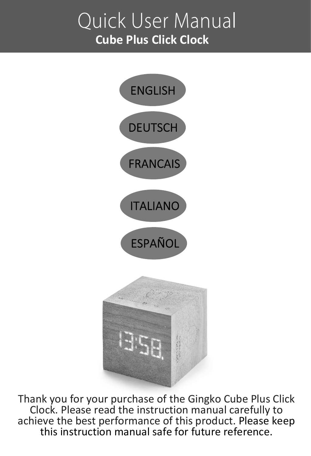# Quick User Manual **Cube Plus Click Clock**



Thank you for your purchase of the Gingko Cube Plus Click Clock. Please read the instruction manual carefully to achieve the best performance of this product. Please keep this instruction manual safe for future reference.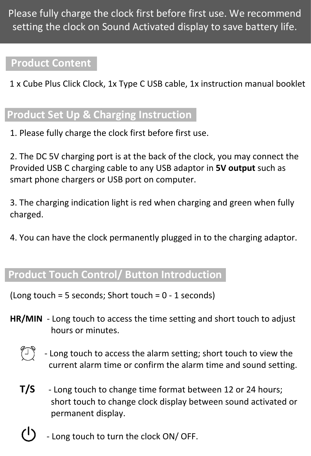Please fully charge the clock first before first use. We recommend setting the clock on Sound Activated display to save battery life.

### **Product Content**

1 x Cube Plus Click Clock, 1x Type C USB cable, 1x instruction manual booklet

# **Product Set Up & Charging Instruction**

1. Please fully charge the clock first before first use.

2. The DC 5V charging port is at the back of the clock, you may connect the Provided USB C charging cable to any USB adaptor in **5V output** such as smart phone chargers or USB port on computer.

3. The charging indication light is red when charging and green when fully charged.

4. You can have the clock permanently plugged in to the charging adaptor.

# **Product Touch Control/ Button Introduction**

 $(long touch = 5 seconds; Short touch = 0 - 1 seconds)$ 

- **HR/MIN** Long touch to access the time setting and short touch to adjust hours or minutes.
	- - Long touch to access the alarm setting; short touch to view the current alarm time or confirm the alarm time and sound setting.
	- **T/S** Long touch to change time format between 12 or 24 hours; short touch to change clock display between sound activated or permanent display.
	- Long touch to turn the clock ON/ OFF.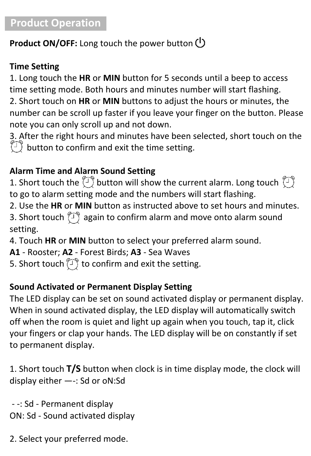# **Product Operation**

### **Product ON/OFF:** Long touch the power button

### **Time Setting**

1. Long touch the **HR** or **MIN** button for 5 seconds until a beep to access time setting mode. Both hours and minutes number will start flashing. 2. Short touch on **HR** or **MIN** buttons to adjust the hours or minutes, the number can be scroll up faster if you leave your finger on the button. Please note you can only scroll up and not down.

3. After the right hours and minutes have been selected, short touch on the  $\binom{5}{1}$  button to confirm and exit the time setting.

### **Alarm Time and Alarm Sound Setting**

1. Short touch the  $\langle \hat{I} \rangle$  button will show the current alarm. Long touch  $\langle \hat{I} \rangle$ to go to alarm setting mode and the numbers will start flashing.

2. Use the **HR** or **MIN** button as instructed above to set hours and minutes. 3. Short touch  $\langle \hat{T} \rangle$  again to confirm alarm and move onto alarm sound setting.

4. Touch **HR** or **MIN** button to select your preferred alarm sound.

**A1** - Rooster; **A2** - Forest Birds; **A3** - Sea Waves

5. Short touch  $\langle \overline{\mathbb{J}} \rangle$  to confirm and exit the setting.

### **Sound Activated or Permanent Display Setting**

The LED display can be set on sound activated display or permanent display. When in sound activated display, the LED display will automatically switch off when the room is quiet and light up again when you touch, tap it, click your fingers or clap your hands. The LED display will be on constantly if set to permanent display.

1. Short touch **T/S** button when clock is in time display mode, the clock will display either —-: Sd or oN:Sd

 - -: Sd - Permanent display ON: Sd - Sound activated display

2. Select your preferred mode.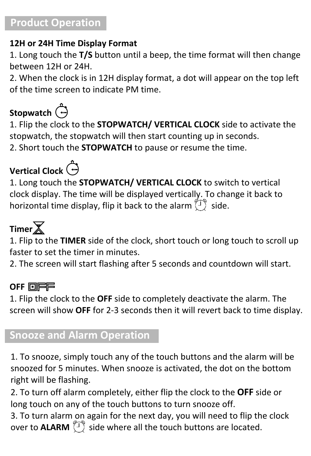### **Product Operation**

### **12H or 24H Time Display Format**

1. Long touch the **T/S** button until a beep, the time format will then change between 12H or 24H.

2. When the clock is in 12H display format, a dot will appear on the top left of the time screen to indicate PM time.

# Stopwatch<sup>(-)</sup>

1. Flip the clock to the **STOPWATCH/ VERTICAL CLOCK** side to activate the stopwatch, the stopwatch will then start counting up in seconds. 2. Short touch the **STOPWATCH** to pause or resume the time.

# **Vertical Clock**

1. Long touch the **STOPWATCH/ VERTICAL CLOCK** to switch to vertical clock display. The time will be displayed vertically. To change it back to horizontal time display, flip it back to the alarm  $\binom{1}{1}$  side.

# **Timer**

1. Flip to the **TIMER** side of the clock, short touch or long touch to scroll up faster to set the timer in minutes.

2. The screen will start flashing after 5 seconds and countdown will start.

### **OFF <b>OIFF**

1. Flip the clock to the **OFF** side to completely deactivate the alarm. The screen will show **OFF** for 2-3 seconds then it will revert back to time display.

### **Snooze and Alarm Operation**

1. To snooze, simply touch any of the touch buttons and the alarm will be snoozed for 5 minutes. When snooze is activated, the dot on the bottom right will be flashing.

2. To turn off alarm completely, either flip the clock to the **OFF** side or long touch on any of the touch buttons to turn snooze off.

3. To turn alarm on again for the next day, you will need to flip the clock over to **ALARM**  $\binom{1}{1}$  side where all the touch buttons are located.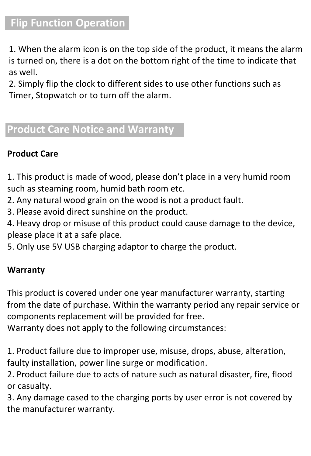### **Flip Function Operation**

1. When the alarm icon is on the top side of the product, it means the alarm is turned on, there is a dot on the bottom right of the time to indicate that as well.

2. Simply flip the clock to different sides to use other functions such as Timer, Stopwatch or to turn off the alarm.

# **Product Care Notice and Warranty**

### **Product Care**

1. This product is made of wood, please don't place in a very humid room such as steaming room, humid bath room etc.

2. Any natural wood grain on the wood is not a product fault.

3. Please avoid direct sunshine on the product.

4. Heavy drop or misuse of this product could cause damage to the device, please place it at a safe place.

5. Only use 5V USB charging adaptor to charge the product.

### **Warranty**

This product is covered under one year manufacturer warranty, starting from the date of purchase. Within the warranty period any repair service or components replacement will be provided for free.

Warranty does not apply to the following circumstances:

1. Product failure due to improper use, misuse, drops, abuse, alteration, faulty installation, power line surge or modification.

2. Product failure due to acts of nature such as natural disaster, fire, flood or casualty.

3. Any damage cased to the charging ports by user error is not covered by the manufacturer warranty.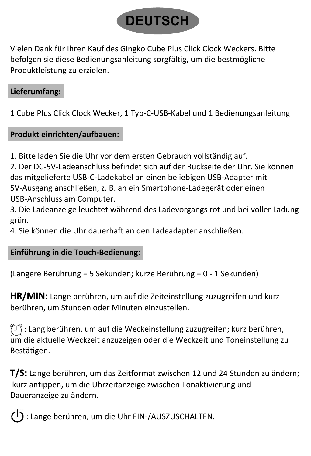

Vielen Dank für Ihren Kauf des Gingko Cube Plus Click Clock Weckers. Bitte befolgen sie diese Bedienungsanleitung sorgfältig, um die bestmögliche Produktleistung zu erzielen.

### **Lieferumfang:**

1 Cube Plus Click Clock Wecker, 1 Typ-C-USB-Kabel und 1 Bedienungsanleitung

### **Produkt einrichten/aufbauen:**

1. Bitte laden Sie die Uhr vor dem ersten Gebrauch vollständig auf.

2. Der DC-5V-Ladeanschluss befindet sich auf der Rückseite der Uhr. Sie können das mitgelieferte USB-C-Ladekabel an einen beliebigen USB-Adapter mit 5V-Ausgang anschließen, z. B. an ein Smartphone-Ladegerät oder einen USB-Anschluss am Computer.

3. Die Ladeanzeige leuchtet während des Ladevorgangs rot und bei voller Ladung grün.

4. Sie können die Uhr dauerhaft an den Ladeadapter anschließen.

### **Einführung in die Touch-Bedienung:**

(Längere Berührung = 5 Sekunden; kurze Berührung = 0 - 1 Sekunden)

**HR/MIN:** Lange berühren, um auf die Zeiteinstellung zuzugreifen und kurz berühren, um Stunden oder Minuten einzustellen.

 $\langle \hat{I} \rangle$ : Lang berühren, um auf die Weckeinstellung zuzugreifen; kurz berühren, um die aktuelle Weckzeit anzuzeigen oder die Weckzeit und Toneinstellung zu Bestätigen.

**T/S:** Lange berühren, um das Zeitformat zwischen 12 und 24 Stunden zu ändern; kurz antippen, um die Uhrzeitanzeige zwischen Tonaktivierung und Daueranzeige zu ändern.

(1): Lange berühren, um die Uhr EIN-/AUSZUSCHALTEN.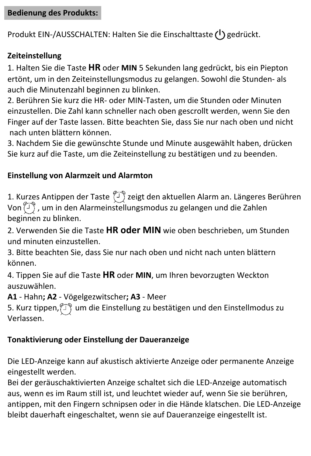### **Bedienung des Produkts:**

Produkt EIN-/AUSSCHALTEN: Halten Sie die Einschalttaste (1) gedrückt.

### **Zeiteinstellung**

1. Halten Sie die Taste **HR** oder **MIN** 5 Sekunden lang gedrückt, bis ein Piepton ertönt, um in den Zeiteinstellungsmodus zu gelangen. Sowohl die Stunden- als auch die Minutenzahl beginnen zu blinken.

2. Berühren Sie kurz die HR- oder MIN-Tasten, um die Stunden oder Minuten einzustellen. Die Zahl kann schneller nach oben gescrollt werden, wenn Sie den Finger auf der Taste lassen. Bitte beachten Sie, dass Sie nur nach oben und nicht nach unten blättern können.

3. Nachdem Sie die gewünschte Stunde und Minute ausgewählt haben, drücken Sie kurz auf die Taste, um die Zeiteinstellung zu bestätigen und zu beenden.

### **Einstellung von Alarmzeit und Alarmton**

1. Kurzes Antippen der Taste  $\langle \mathcal{T} \rangle$ zeigt den aktuellen Alarm an. Längeres Berühren Von  $\langle \overline{\mathbb{I}}\rangle$ , um in den Alarmeinstellungsmodus zu gelangen und die Zahlen beginnen zu blinken.

2. Verwenden Sie die Taste **HR oder MIN** wie oben beschrieben, um Stunden und minuten einzustellen.

3. Bitte beachten Sie, dass Sie nur nach oben und nicht nach unten blättern können.

4. Tippen Sie auf die Taste **HR** oder **MIN**, um Ihren bevorzugten Weckton auszuwählen.

**A1** - Hahn**; A2** - Vögelgezwitscher**; A3** - Meer

5. Kurz tippen,  $\textcircled{1}$  um die Einstellung zu bestätigen und den Einstellmodus zu Verlassen.

### **Tonaktivierung oder Einstellung der Daueranzeige**

Die LED-Anzeige kann auf akustisch aktivierte Anzeige oder permanente Anzeige eingestellt werden.

Bei der geräuschaktivierten Anzeige schaltet sich die LED-Anzeige automatisch aus, wenn es im Raum still ist, und leuchtet wieder auf, wenn Sie sie berühren, antippen, mit den Fingern schnipsen oder in die Hände klatschen. Die LED-Anzeige bleibt dauerhaft eingeschaltet, wenn sie auf Daueranzeige eingestellt ist.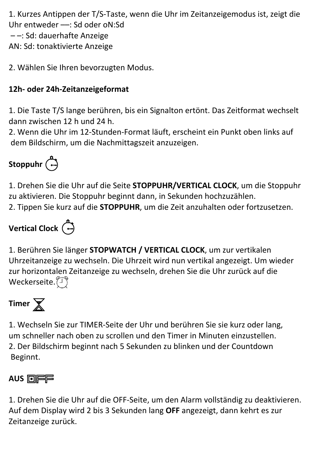1. Kurzes Antippen der T/S-Taste, wenn die Uhr im Zeitanzeigemodus ist, zeigt die Uhr entweder ––: Sd oder oN:Sd – –: Sd: dauerhafte Anzeige

AN: Sd: tonaktivierte Anzeige

2. Wählen Sie Ihren bevorzugten Modus.

### **12h- oder 24h-Zeitanzeigeformat**

1. Die Taste T/S lange berühren, bis ein Signalton ertönt. Das Zeitformat wechselt dann zwischen 12 h und 24 h.

2. Wenn die Uhr im 12-Stunden-Format läuft, erscheint ein Punkt oben links auf dem Bildschirm, um die Nachmittagszeit anzuzeigen.

# **Stoppuhr**

1. Drehen Sie die Uhr auf die Seite **STOPPUHR/VERTICAL CLOCK**, um die Stoppuhr zu aktivieren. Die Stoppuhr beginnt dann, in Sekunden hochzuzählen. 2. Tippen Sie kurz auf die **STOPPUHR**, um die Zeit anzuhalten oder fortzusetzen.

# **Vertical Clock**

1. Berühren Sie länger **STOPWATCH / VERTICAL CLOCK**, um zur vertikalen Uhrzeitanzeige zu wechseln. Die Uhrzeit wird nun vertikal angezeigt. Um wieder zur horizontalen Zeitanzeige zu wechseln, drehen Sie die Uhr zurück auf die Weckerseite.<sup>(J)</sup>

# Timer  $\overline{\mathbb{X}}$

1. Wechseln Sie zur TIMER-Seite der Uhr und berühren Sie sie kurz oder lang, um schneller nach oben zu scrollen und den Timer in Minuten einzustellen. 2. Der Bildschirm beginnt nach 5 Sekunden zu blinken und der Countdown Beginnt.

### **AUS** 回**户户**

1. Drehen Sie die Uhr auf die OFF-Seite, um den Alarm vollständig zu deaktivieren. Auf dem Display wird 2 bis 3 Sekunden lang **OFF** angezeigt, dann kehrt es zur Zeitanzeige zurück.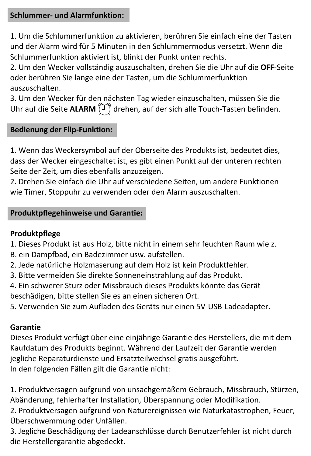### **Schlummer- und Alarmfunktion:**

1. Um die Schlummerfunktion zu aktivieren, berühren Sie einfach eine der Tasten und der Alarm wird für 5 Minuten in den Schlummermodus versetzt. Wenn die Schlummerfunktion aktiviert ist, blinkt der Punkt unten rechts.

2. Um den Wecker vollständig auszuschalten, drehen Sie die Uhr auf die **OFF**-Seite oder berühren Sie lange eine der Tasten, um die Schlummerfunktion auszuschalten.

3. Um den Wecker für den nächsten Tag wieder einzuschalten, müssen Sie die Uhr auf die Seite **ALARM**  $\sqrt{T}$  drehen, auf der sich alle Touch-Tasten befinden.

#### **Bedienung der Flip-Funktion:**

1. Wenn das Weckersymbol auf der Oberseite des Produkts ist, bedeutet dies, dass der Wecker eingeschaltet ist, es gibt einen Punkt auf der unteren rechten Seite der Zeit, um dies ebenfalls anzuzeigen.

2. Drehen Sie einfach die Uhr auf verschiedene Seiten, um andere Funktionen wie Timer, Stoppuhr zu verwenden oder den Alarm auszuschalten.

#### **Produktpflegehinweise und Garantie:**

#### **Produktpflege**

- 1. Dieses Produkt ist aus Holz, bitte nicht in einem sehr feuchten Raum wie z.
- B. ein Dampfbad, ein Badezimmer usw. aufstellen.
- 2. Jede natürliche Holzmaserung auf dem Holz ist kein Produktfehler.
- 3. Bitte vermeiden Sie direkte Sonneneinstrahlung auf das Produkt.
- 4. Ein schwerer Sturz oder Missbrauch dieses Produkts könnte das Gerät

beschädigen, bitte stellen Sie es an einen sicheren Ort.

5. Verwenden Sie zum Aufladen des Geräts nur einen 5V-USB-Ladeadapter.

#### **Garantie**

Dieses Produkt verfügt über eine einjährige Garantie des Herstellers, die mit dem Kaufdatum des Produkts beginnt. Während der Laufzeit der Garantie werden jegliche Reparaturdienste und Ersatzteilwechsel gratis ausgeführt. In den folgenden Fällen gilt die Garantie nicht:

1. Produktversagen aufgrund von unsachgemäßem Gebrauch, Missbrauch, Stürzen, Abänderung, fehlerhafter Installation, Überspannung oder Modifikation.

2. Produktversagen aufgrund von Naturereignissen wie Naturkatastrophen, Feuer, Überschwemmung oder Unfällen.

3. Jegliche Beschädigung der Ladeanschlüsse durch Benutzerfehler ist nicht durch die Herstellergarantie abgedeckt.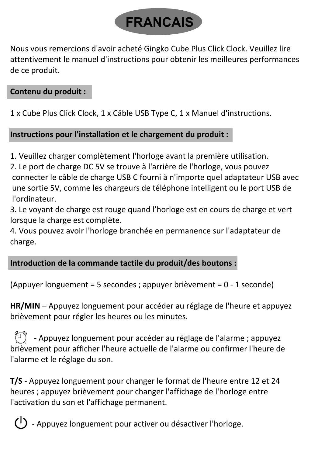

Nous vous remercions d'avoir acheté Gingko Cube Plus Click Clock. Veuillez lire attentivement le manuel d'instructions pour obtenir les meilleures performances de ce produit.

### **Contenu du produit :**

1 x Cube Plus Click Clock, 1 x Câble USB Type C, 1 x Manuel d'instructions.

### **Instructions pour l'installation et le chargement du produit :**

1. Veuillez charger complètement l'horloge avant la première utilisation.

2. Le port de charge DC 5V se trouve à l'arrière de l'horloge, vous pouvez connecter le câble de charge USB C fourni à n'importe quel adaptateur USB avec une sortie 5V, comme les chargeurs de téléphone intelligent ou le port USB de l'ordinateur.

3. Le voyant de charge est rouge quand l'horloge est en cours de charge et vert lorsque la charge est complète.

4. Vous pouvez avoir l'horloge branchée en permanence sur l'adaptateur de charge.

### **Introduction de la commande tactile du produit/des boutons :**

(Appuyer longuement = 5 secondes ; appuyer brièvement = 0 - 1 seconde)

**HR/MIN** – Appuyez longuement pour accéder au réglage de l'heure et appuyez brièvement pour régler les heures ou les minutes.

 $\binom{1}{1}$  - Appuyez longuement pour accéder au réglage de l'alarme ; appuyez brièvement pour afficher l'heure actuelle de l'alarme ou confirmer l'heure de l'alarme et le réglage du son.

**T/S** - Appuyez longuement pour changer le format de l'heure entre 12 et 24 heures ; appuyez brièvement pour changer l'affichage de l'horloge entre l'activation du son et l'affichage permanent.



- Appuyez longuement pour activer ou désactiver l'horloge.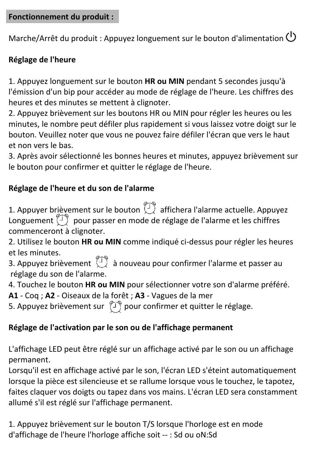### **Fonctionnement du produit :**

Marche/Arrêt du produit : Appuyez longuement sur le bouton d'alimentation (1)

### **Réglage de l'heure**

1. Appuyez longuement sur le bouton **HR ou MIN** pendant 5 secondes jusqu'à l'émission d'un bip pour accéder au mode de réglage de l'heure. Les chiffres des heures et des minutes se mettent à clignoter.

2. Appuyez brièvement sur les boutons HR ou MIN pour régler les heures ou les minutes, le nombre peut défiler plus rapidement si vous laissez votre doigt sur le bouton. Veuillez noter que vous ne pouvez faire défiler l'écran que vers le haut et non vers le bas.

3. Après avoir sélectionné les bonnes heures et minutes, appuyez brièvement sur le bouton pour confirmer et quitter le réglage de l'heure.

### **Réglage de l'heure et du son de l'alarme**

1. Appuyer brièvement sur le bouton  $\widehat{\mathbb{C}}$  affichera l'alarme actuelle. Appuyez Longuement  $\langle \overline{\phantom{a}} \rangle$  pour passer en mode de réglage de l'alarme et les chiffres commenceront à clignoter.

2. Utilisez le bouton **HR ou MIN** comme indiqué ci-dessus pour régler les heures et les minutes.

 $\mathsf{R}$  are sumutes.<br>3. Appuyez brièvement  $\mathbb{C}^3$  à nouveau pour confirmer l'alarme et passer au réglage du son de l'alarme.

4. Touchez le bouton **HR ou MIN** pour sélectionner votre son d'alarme préféré.

**A1** - Coq ; **A2** - Oiseaux de la forêt ; **A3** - Vagues de la mer

5. Appuyez brièvement sur  $\langle \mathcal{T} \rangle$  pour confirmer et quitter le réglage.

### **Réglage de l'activation par le son ou de l'affichage permanent**

L'affichage LED peut être réglé sur un affichage activé par le son ou un affichage permanent.

Lorsqu'il est en affichage activé par le son, l'écran LED s'éteint automatiquement lorsque la pièce est silencieuse et se rallume lorsque vous le touchez, le tapotez, faites claquer vos doigts ou tapez dans vos mains. L'écran LED sera constamment allumé s'il est réglé sur l'affichage permanent.

1. Appuyez brièvement sur le bouton T/S lorsque l'horloge est en mode d'affichage de l'heure l'horloge affiche soit -- : Sd ou oN:Sd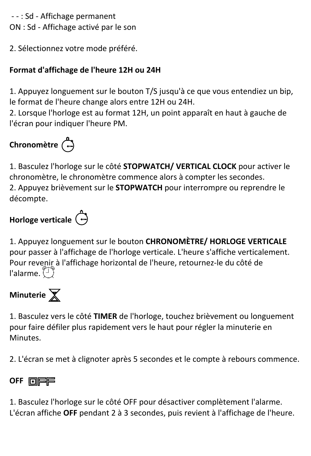- - : Sd - Affichage permanent ON : Sd - Affichage activé par le son

2. Sélectionnez votre mode préféré.

### **Format d'affichage de l'heure 12H ou 24H**

1. Appuyez longuement sur le bouton T/S jusqu'à ce que vous entendiez un bip, le format de l'heure change alors entre 12H ou 24H.

2. Lorsque l'horloge est au format 12H, un point apparaît en haut à gauche de l'écran pour indiquer l'heure PM.

# **Chronomètre**

1. Basculez l'horloge sur le côté **STOPWATCH/ VERTICAL CLOCK** pour activer le chronomètre, le chronomètre commence alors à compter les secondes. 2. Appuyez brièvement sur le **STOPWATCH** pour interrompre ou reprendre le décompte.

# **Horloge verticale**

1. Appuyez longuement sur le bouton **CHRONOMÈTRE/ HORLOGE VERTICALE** pour passer à l'affichage de l'horloge verticale. L'heure s'affiche verticalement. Pour revenir à l'affichage horizontal de l'heure, retournez-le du côté de l'alarme.



1. Basculez vers le côté **TIMER** de l'horloge, touchez brièvement ou longuement pour faire défiler plus rapidement vers le haut pour régler la minuterie en Minutes.

2. L'écran se met à clignoter après 5 secondes et le compte à rebours commence.

### **OFF <b>OIFF**

1. Basculez l'horloge sur le côté OFF pour désactiver complètement l'alarme. L'écran affiche **OFF** pendant 2 à 3 secondes, puis revient à l'affichage de l'heure.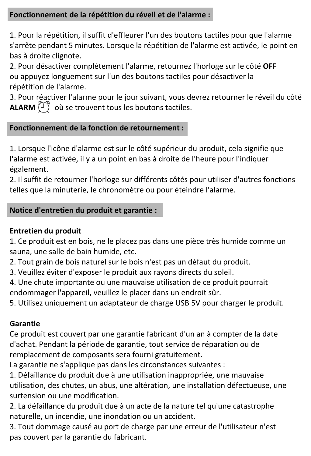#### **Fonctionnement de la répétition du réveil et de l'alarme :**

1. Pour la répétition, il suffit d'effleurer l'un des boutons tactiles pour que l'alarme s'arrête pendant 5 minutes. Lorsque la répétition de l'alarme est activée, le point en bas à droite clignote.

2. Pour désactiver complètement l'alarme, retournez l'horloge sur le côté **OFF** ou appuyez longuement sur l'un des boutons tactiles pour désactiver la répétition de l'alarme.

3. Pour réactiver l'alarme pour le jour suivant, vous devrez retourner le réveil du côté **ALARM**  $\left(\begin{matrix} 1 \\ 1 \end{matrix}\right)$  où se trouvent tous les boutons tactiles.

#### **Fonctionnement de la fonction de retournement :**

1. Lorsque l'icône d'alarme est sur le côté supérieur du produit, cela signifie que l'alarme est activée, il y a un point en bas à droite de l'heure pour l'indiquer également.

2. Il suffit de retourner l'horloge sur différents côtés pour utiliser d'autres fonctions telles que la minuterie, le chronomètre ou pour éteindre l'alarme.

### **Notice d'entretien du produit et garantie :**

#### **Entretien du produit**

1. Ce produit est en bois, ne le placez pas dans une pièce très humide comme un sauna, une salle de bain humide, etc.

2. Tout grain de bois naturel sur le bois n'est pas un défaut du produit.

3. Veuillez éviter d'exposer le produit aux rayons directs du soleil.

4. Une chute importante ou une mauvaise utilisation de ce produit pourrait endommager l'appareil, veuillez le placer dans un endroit sûr.

5. Utilisez uniquement un adaptateur de charge USB 5V pour charger le produit.

#### **Garantie**

Ce produit est couvert par une garantie fabricant d'un an à compter de la date d'achat. Pendant la période de garantie, tout service de réparation ou de remplacement de composants sera fourni gratuitement.

La garantie ne s'applique pas dans les circonstances suivantes :

1. Défaillance du produit due à une utilisation inappropriée, une mauvaise utilisation, des chutes, un abus, une altération, une installation défectueuse, une surtension ou une modification.

2. La défaillance du produit due à un acte de la nature tel qu'une catastrophe naturelle, un incendie, une inondation ou un accident.

3. Tout dommage causé au port de charge par une erreur de l'utilisateur n'est pas couvert par la garantie du fabricant.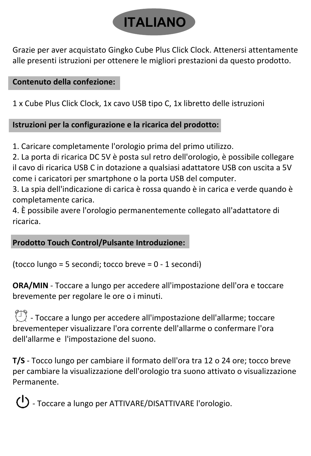

Grazie per aver acquistato Gingko Cube Plus Click Clock. Attenersi attentamente alle presenti istruzioni per ottenere le migliori prestazioni da questo prodotto.

**Contenuto della confezione:**

1 x Cube Plus Click Clock, 1x cavo USB tipo C, 1x libretto delle istruzioni

**Istruzioni per la configurazione e la ricarica del prodotto:**

1. Caricare completamente l'orologio prima del primo utilizzo.

2. La porta di ricarica DC 5V è posta sul retro dell'orologio, è possibile collegare il cavo di ricarica USB C in dotazione a qualsiasi adattatore USB con uscita a 5V come i caricatori per smartphone o la porta USB del computer.

3. La spia dell'indicazione di carica è rossa quando è in carica e verde quando è completamente carica.

4. È possibile avere l'orologio permanentemente collegato all'adattatore di ricarica.

**Prodotto Touch Control/Pulsante Introduzione:**

(tocco lungo = 5 secondi; tocco breve = 0 - 1 secondi)

**ORA/MIN** - Toccare a lungo per accedere all'impostazione dell'ora e toccare brevemente per regolare le ore o i minuti.

 $\binom{1}{1}$  - Toccare a lungo per accedere all'impostazione dell'allarme; toccare brevementeper visualizzare l'ora corrente dell'allarme o confermare l'ora dell'allarme e l'impostazione del suono.

**T/S** - Tocco lungo per cambiare il formato dell'ora tra 12 o 24 ore; tocco breve per cambiare la visualizzazione dell'orologio tra suono attivato o visualizzazione Permanente.

- Toccare a lungo per ATTIVARE/DISATTIVARE l'orologio.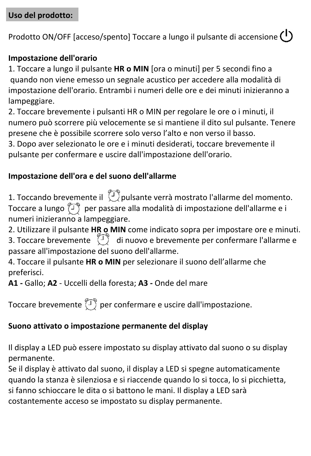Prodotto ON/OFF [acceso/spento] Toccare a lungo il pulsante di accensione (1)

### **Impostazione dell'orario**

1. Toccare a lungo il pulsante **HR o MIN** [ora o minuti] per 5 secondi fino a quando non viene emesso un segnale acustico per accedere alla modalità di impostazione dell'orario. Entrambi i numeri delle ore e dei minuti inizieranno a lampeggiare.

2. Toccare brevemente i pulsanti HR o MIN per regolare le ore o i minuti, il numero può scorrere più velocemente se si mantiene il dito sul pulsante. Tenere presene che è possibile scorrere solo verso l'alto e non verso il basso.

3. Dopo aver selezionato le ore e i minuti desiderati, toccare brevemente il pulsante per confermare e uscire dall'impostazione dell'orario.

### **Impostazione dell'ora e del suono dell'allarme**

1. Toccando brevemente il  $\langle \overline{\overline{I}} \rangle$ pulsante verrà mostrato l'allarme del momento. Toccare a lungo  $\overline{1}$  per passare alla modalità di impostazione dell'allarme e i numeri inizieranno a lampeggiare.

2. Utilizzare il pulsante **HR o MIN** come indicato sopra per impostare ore e minuti. 3. Toccare brevemente  $\langle 1 \rangle$  di nuovo e brevemente per confermare l'allarme e passare all'impostazione del suono dell'allarme.

4. Toccare il pulsante **HR o MIN** per selezionare il suono dell'allarme che preferisci.

**A1 -** Gallo; **A2** - Uccelli della foresta; **A3 -** Onde del mare

Toccare brevemente  $\langle \hat{I} \rangle$  per confermare e uscire dall'impostazione.

### **Suono attivato o impostazione permanente del display**

Il display a LED può essere impostato su display attivato dal suono o su display permanente.

Se il display è attivato dal suono, il display a LED si spegne automaticamente quando la stanza è silenziosa e si riaccende quando lo si tocca, lo si picchietta, si fanno schioccare le dita o si battono le mani. Il display a LED sarà costantemente acceso se impostato su display permanente.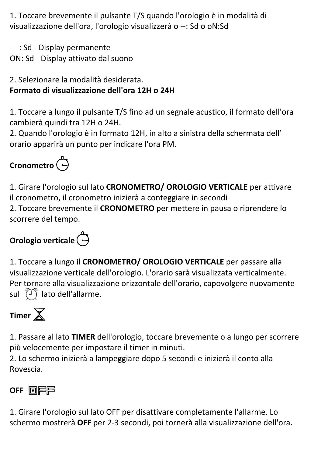1. Toccare brevemente il pulsante T/S quando l'orologio è in modalità di visualizzazione dell'ora, l'orologio visualizzerà o --: Sd o oN:Sd

 - -: Sd - Display permanente ON: Sd - Display attivato dal suono

### 2. Selezionare la modalità desiderata. **Formato di visualizzazione dell'ora 12H o 24H**

1. Toccare a lungo il pulsante T/S fino ad un segnale acustico, il formato dell'ora cambierà quindi tra 12H o 24H.

2. Quando l'orologio è in formato 12H, in alto a sinistra della schermata dell' orario apparirà un punto per indicare l'ora PM.

# **Cronometro**

1. Girare l'orologio sul lato **CRONOMETRO/ OROLOGIO VERTICALE** per attivare il cronometro, il cronometro inizierà a conteggiare in secondi 2. Toccare brevemente il **CRONOMETRO** per mettere in pausa o riprendere lo scorrere del tempo.

# **Orologio verticale**





1. Passare al lato **TIMER** dell'orologio, toccare brevemente o a lungo per scorrere più velocemente per impostare il timer in minuti.

2. Lo schermo inizierà a lampeggiare dopo 5 secondi e inizierà il conto alla Rovescia.

### **OFF <b>OIFF**

1. Girare l'orologio sul lato OFF per disattivare completamente l'allarme. Lo schermo mostrerà **OFF** per 2-3 secondi, poi tornerà alla visualizzazione dell'ora.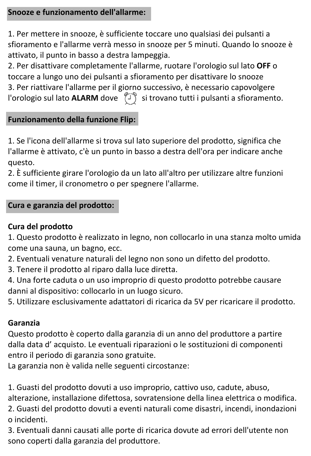### **Snooze e funzionamento dell'allarme:**

1. Per mettere in snooze, è sufficiente toccare uno qualsiasi dei pulsanti a sfioramento e l'allarme verrà messo in snooze per 5 minuti. Quando lo snooze è attivato, il punto in basso a destra lampeggia.

2. Per disattivare completamente l'allarme, ruotare l'orologio sul lato **OFF** o toccare a lungo uno dei pulsanti a sfioramento per disattivare lo snooze 3. Per riattivare l'allarme per il giorno successivo, è necessario capovolgere l'orologio sul lato **ALARM** dove ( $\sqrt{2}$ ) si trovano tutti i pulsanti a sfioramento.

### **Funzionamento della funzione Flip:**

1. Se l'icona dell'allarme si trova sul lato superiore del prodotto, significa che l'allarme è attivato, c'è un punto in basso a destra dell'ora per indicare anche questo.

2. È sufficiente girare l'orologio da un lato all'altro per utilizzare altre funzioni come il timer, il cronometro o per spegnere l'allarme.

#### **Cura e garanzia del prodotto:**

### **Cura del prodotto**

1. Questo prodotto è realizzato in legno, non collocarlo in una stanza molto umida come una sauna, un bagno, ecc.

2. Eventuali venature naturali del legno non sono un difetto del prodotto.

3. Tenere il prodotto al riparo dalla luce diretta.

4. Una forte caduta o un uso improprio di questo prodotto potrebbe causare danni al dispositivo: collocarlo in un luogo sicuro.

5. Utilizzare esclusivamente adattatori di ricarica da 5V per ricaricare il prodotto.

### **Garanzia**

Questo prodotto è coperto dalla garanzia di un anno del produttore a partire dalla data d' acquisto. Le eventuali riparazioni o le sostituzioni di componenti entro il periodo di garanzia sono gratuite.

La garanzia non è valida nelle seguenti circostanze:

1. Guasti del prodotto dovuti a uso improprio, cattivo uso, cadute, abuso,

alterazione, installazione difettosa, sovratensione della linea elettrica o modifica. 2. Guasti del prodotto dovuti a eventi naturali come disastri, incendi, inondazioni o incidenti.

3. Eventuali danni causati alle porte di ricarica dovute ad errori dell'utente non sono coperti dalla garanzia del produttore.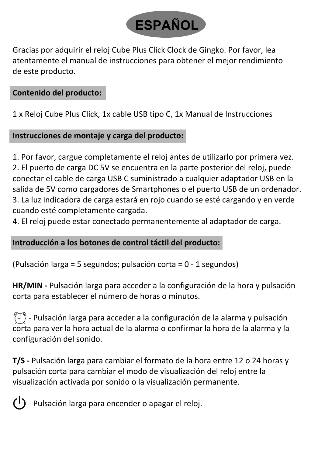

Gracias por adquirir el reloj Cube Plus Click Clock de Gingko. Por favor, lea atentamente el manual de instrucciones para obtener el mejor rendimiento de este producto.

### **Contenido del producto:**

1 x Reloj Cube Plus Click, 1x cable USB tipo C, 1x Manual de Instrucciones

### **Instrucciones de montaje y carga del producto:**

1. Por favor, cargue completamente el reloj antes de utilizarlo por primera vez. 2. El puerto de carga DC 5V se encuentra en la parte posterior del reloj, puede conectar el cable de carga USB C suministrado a cualquier adaptador USB en la salida de 5V como cargadores de Smartphones o el puerto USB de un ordenador. 3. La luz indicadora de carga estará en rojo cuando se esté cargando y en verde cuando esté completamente cargada.

4. El reloj puede estar conectado permanentemente al adaptador de carga.

### **Introducción a los botones de control táctil del producto:**

(Pulsación larga = 5 segundos; pulsación corta = 0 - 1 segundos)

**HR/MIN -** Pulsación larga para acceder a la configuración de la hora y pulsación corta para establecer el número de horas o minutos.

 $\langle \hat{\mathbb{I}} \rangle$  - Pulsación larga para acceder a la configuración de la alarma y pulsación corta para ver la hora actual de la alarma o confirmar la hora de la alarma y la configuración del sonido.

**T/S -** Pulsación larga para cambiar el formato de la hora entre 12 o 24 horas y pulsación corta para cambiar el modo de visualización del reloj entre la visualización activada por sonido o la visualización permanente.

 $\left(\cdot\right)$  - Pulsación larga para encender o apagar el reloj.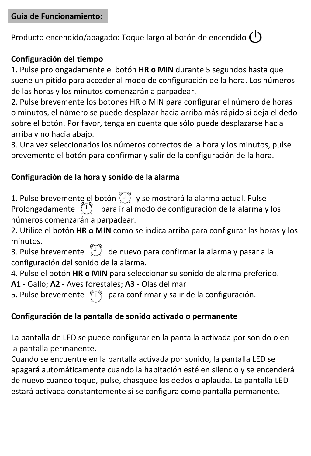Producto encendido/apagado: Toque largo al botón de encendido  $\binom{1}{k}$ 

### **Configuración del tiempo**

1. Pulse prolongadamente el botón **HR o MIN** durante 5 segundos hasta que suene un pitido para acceder al modo de configuración de la hora. Los números de las horas y los minutos comenzarán a parpadear.

2. Pulse brevemente los botones HR o MIN para configurar el número de horas o minutos, el número se puede desplazar hacia arriba más rápido si deja el dedo sobre el botón. Por favor, tenga en cuenta que sólo puede desplazarse hacia arriba y no hacia abajo.

3. Una vez seleccionados los números correctos de la hora y los minutos, pulse brevemente el botón para confirmar y salir de la configuración de la hora.

### **Configuración de la hora y sonido de la alarma**

1. Pulse brevemente el botón (ﻙ) y se mostrará la alarma actual. Pulse<br>Prolongadamente (り) para ir al modo de configuración de la alarma y los números comenzarán a parpadear.

2. Utilice el botón **HR o MIN** como se indica arriba para configurar las horas y los minutos.

3. Pulse brevemente  $\binom{1}{2}$  de nuevo para confirmar la alarma y pasar a la configuración del sonido de la alarma.

4. Pulse el botón **HR o MIN** para seleccionar su sonido de alarma preferido.

**A1 -** Gallo; **A2 -** Aves forestales; **A3 -** Olas del mar

5. Pulse brevemente  $\langle \overline{I} \rangle$  para confirmar y salir de la configuración.

### **Configuración de la pantalla de sonido activado o permanente**

La pantalla de LED se puede configurar en la pantalla activada por sonido o en la pantalla permanente.

Cuando se encuentre en la pantalla activada por sonido, la pantalla LED se apagará automáticamente cuando la habitación esté en silencio y se encenderá de nuevo cuando toque, pulse, chasquee los dedos o aplauda. La pantalla LED estará activada constantemente si se configura como pantalla permanente.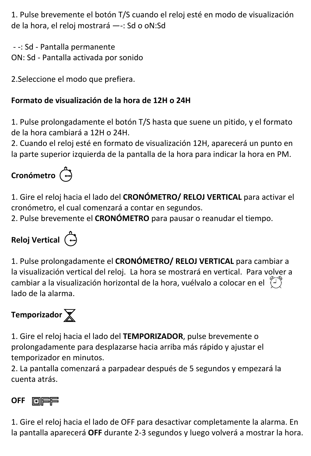1. Pulse brevemente el botón T/S cuando el reloj esté en modo de visualización de la hora, el reloj mostrará —-: Sd o oN:Sd

 - -: Sd - Pantalla permanente ON: Sd - Pantalla activada por sonido

2.Seleccione el modo que prefiera.

### **Formato de visualización de la hora de 12H o 24H**

1. Pulse prolongadamente el botón T/S hasta que suene un pitido, y el formato de la hora cambiará a 12H o 24H.

2. Cuando el reloj esté en formato de visualización 12H, aparecerá un punto en la parte superior izquierda de la pantalla de la hora para indicar la hora en PM.

# **Cronómetro**

1. Gire el reloj hacia el lado del **CRONÓMETRO/ RELOJ VERTICAL** para activar el cronómetro, el cual comenzará a contar en segundos.

2. Pulse brevemente el **CRONÓMETRO** para pausar o reanudar el tiempo.

# **Reloj Vertical**

1. Pulse prolongadamente el **CRONÓMETRO/ RELOJ VERTICAL** para cambiar a la visualización vertical del reloj. La hora se mostrará en vertical. Para volver a cambiar a la visualización horizontal de la hora, vuélvalo a colocar en el  $\sqrt[m]{i}$ lado de la alarma.

# **Temporizador**

1. Gire el reloj hacia el lado del **TEMPORIZADOR**, pulse brevemente o prolongadamente para desplazarse hacia arriba más rápido y ajustar el temporizador en minutos.

2. La pantalla comenzará a parpadear después de 5 segundos y empezará la cuenta atrás.

### **OFF** FIEE

1. Gire el reloj hacia el lado de OFF para desactivar completamente la alarma. En la pantalla aparecerá **OFF** durante 2-3 segundos y luego volverá a mostrar la hora.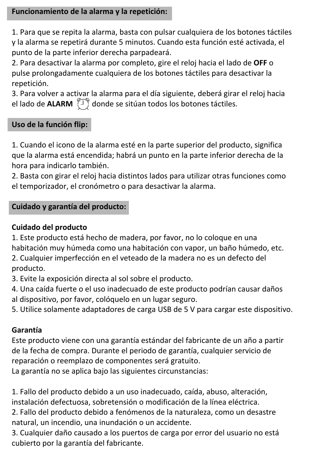### **Funcionamiento de la alarma y la repetición:**

1. Para que se repita la alarma, basta con pulsar cualquiera de los botones táctiles y la alarma se repetirá durante 5 minutos. Cuando esta función esté activada, el punto de la parte inferior derecha parpadeará.

2. Para desactivar la alarma por completo, gire el reloj hacia el lado de **OFF** o pulse prolongadamente cualquiera de los botones táctiles para desactivar la repetición.

3. Para volver a activar la alarma para el día siguiente, deberá girar el reloj hacia el lado de **ALARM** ( $\sqrt{2}$ ) donde se sitúan todos los botones táctiles.

### **Uso de la función flip:**

1. Cuando el icono de la alarma esté en la parte superior del producto, significa que la alarma está encendida; habrá un punto en la parte inferior derecha de la hora para indicarlo también.

2. Basta con girar el reloj hacia distintos lados para utilizar otras funciones como el temporizador, el cronómetro o para desactivar la alarma.

#### **Cuidado y garantía del producto:**

#### **Cuidado del producto**

1. Este producto está hecho de madera, por favor, no lo coloque en una habitación muy húmeda como una habitación con vapor, un baño húmedo, etc. 2. Cualquier imperfección en el veteado de la madera no es un defecto del producto.

3. Evite la exposición directa al sol sobre el producto.

4. Una caída fuerte o el uso inadecuado de este producto podrían causar daños al dispositivo, por favor, colóquelo en un lugar seguro.

5. Utilice solamente adaptadores de carga USB de 5 V para cargar este dispositivo.

#### **Garantía**

Este producto viene con una garantía estándar del fabricante de un año a partir de la fecha de compra. Durante el periodo de garantía, cualquier servicio de reparación o reemplazo de componentes será gratuito.

La garantía no se aplica bajo las siguientes circunstancias:

1. Fallo del producto debido a un uso inadecuado, caída, abuso, alteración, instalación defectuosa, sobretensión o modificación de la línea eléctrica.

2. Fallo del producto debido a fenómenos de la naturaleza, como un desastre natural, un incendio, una inundación o un accidente.

3. Cualquier daño causado a los puertos de carga por error del usuario no está cubierto por la garantía del fabricante.